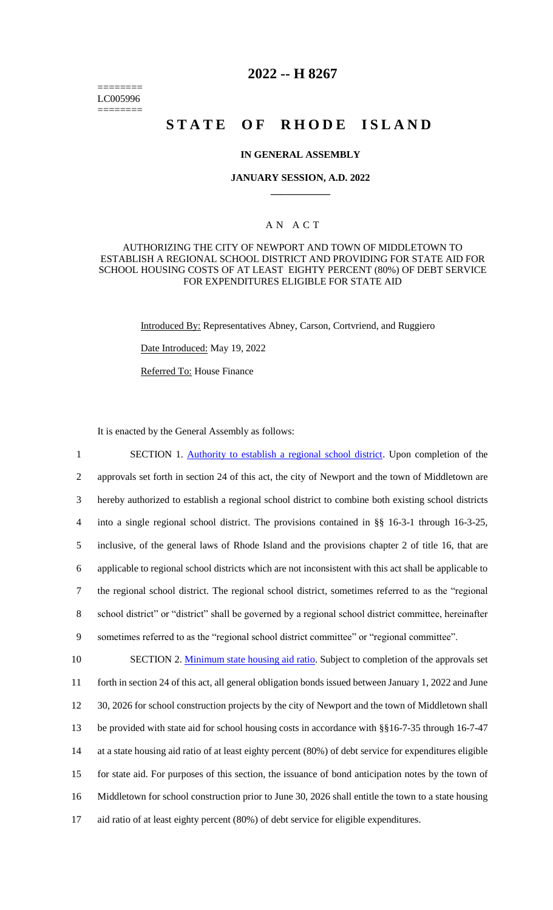======== LC005996 ========

# **2022 -- H 8267**

# **STATE OF RHODE ISLAND**

## **IN GENERAL ASSEMBLY**

### **JANUARY SESSION, A.D. 2022 \_\_\_\_\_\_\_\_\_\_\_\_**

## A N A C T

## AUTHORIZING THE CITY OF NEWPORT AND TOWN OF MIDDLETOWN TO ESTABLISH A REGIONAL SCHOOL DISTRICT AND PROVIDING FOR STATE AID FOR SCHOOL HOUSING COSTS OF AT LEAST EIGHTY PERCENT (80%) OF DEBT SERVICE FOR EXPENDITURES ELIGIBLE FOR STATE AID

Introduced By: Representatives Abney, Carson, Cortvriend, and Ruggiero

Date Introduced: May 19, 2022

Referred To: House Finance

It is enacted by the General Assembly as follows:

1 SECTION 1. Authority to establish a regional school district. Upon completion of the approvals set forth in section 24 of this act, the city of Newport and the town of Middletown are hereby authorized to establish a regional school district to combine both existing school districts into a single regional school district. The provisions contained in §§ 16-3-1 through 16-3-25, inclusive, of the general laws of Rhode Island and the provisions chapter 2 of title 16, that are applicable to regional school districts which are not inconsistent with this act shall be applicable to the regional school district. The regional school district, sometimes referred to as the "regional school district" or "district" shall be governed by a regional school district committee, hereinafter sometimes referred to as the "regional school district committee" or "regional committee". 10 SECTION 2. Minimum state housing aid ratio. Subject to completion of the approvals set forth in section 24 of this act, all general obligation bonds issued between January 1, 2022 and June 30, 2026 for school construction projects by the city of Newport and the town of Middletown shall 13 be provided with state aid for school housing costs in accordance with §§16-7-35 through 16-7-47 at a state housing aid ratio of at least eighty percent (80%) of debt service for expenditures eligible for state aid. For purposes of this section, the issuance of bond anticipation notes by the town of

16 Middletown for school construction prior to June 30, 2026 shall entitle the town to a state housing

17 aid ratio of at least eighty percent (80%) of debt service for eligible expenditures.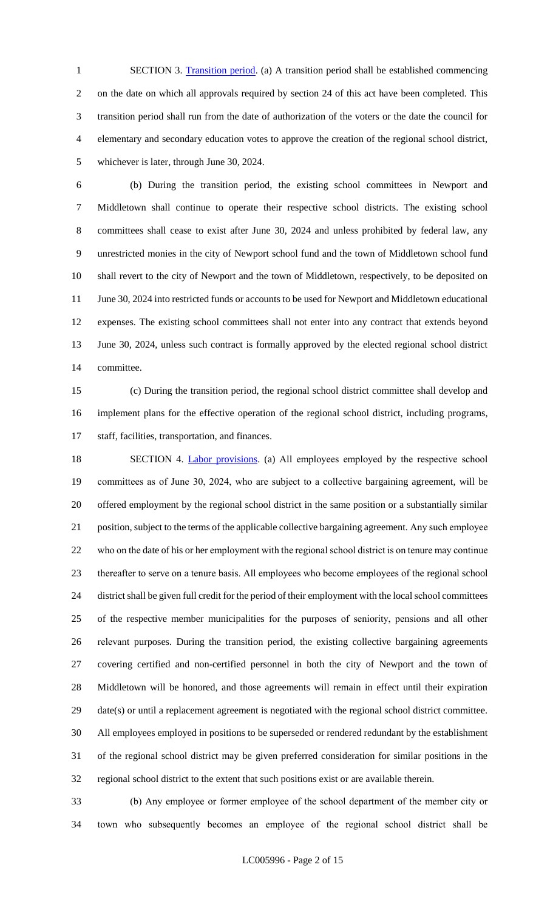1 SECTION 3. Transition period. (a) A transition period shall be established commencing on the date on which all approvals required by section 24 of this act have been completed. This transition period shall run from the date of authorization of the voters or the date the council for elementary and secondary education votes to approve the creation of the regional school district, whichever is later, through June 30, 2024.

 (b) During the transition period, the existing school committees in Newport and Middletown shall continue to operate their respective school districts. The existing school committees shall cease to exist after June 30, 2024 and unless prohibited by federal law, any unrestricted monies in the city of Newport school fund and the town of Middletown school fund shall revert to the city of Newport and the town of Middletown, respectively, to be deposited on 11 June 30, 2024 into restricted funds or accounts to be used for Newport and Middletown educational expenses. The existing school committees shall not enter into any contract that extends beyond June 30, 2024, unless such contract is formally approved by the elected regional school district committee.

 (c) During the transition period, the regional school district committee shall develop and implement plans for the effective operation of the regional school district, including programs, staff, facilities, transportation, and finances.

18 SECTION 4. Labor provisions. (a) All employees employed by the respective school committees as of June 30, 2024, who are subject to a collective bargaining agreement, will be offered employment by the regional school district in the same position or a substantially similar position, subject to the terms of the applicable collective bargaining agreement. Any such employee who on the date of his or her employment with the regional school district is on tenure may continue thereafter to serve on a tenure basis. All employees who become employees of the regional school district shall be given full credit for the period of their employment with the local school committees of the respective member municipalities for the purposes of seniority, pensions and all other relevant purposes. During the transition period, the existing collective bargaining agreements covering certified and non-certified personnel in both the city of Newport and the town of Middletown will be honored, and those agreements will remain in effect until their expiration date(s) or until a replacement agreement is negotiated with the regional school district committee. All employees employed in positions to be superseded or rendered redundant by the establishment of the regional school district may be given preferred consideration for similar positions in the regional school district to the extent that such positions exist or are available therein.

 (b) Any employee or former employee of the school department of the member city or town who subsequently becomes an employee of the regional school district shall be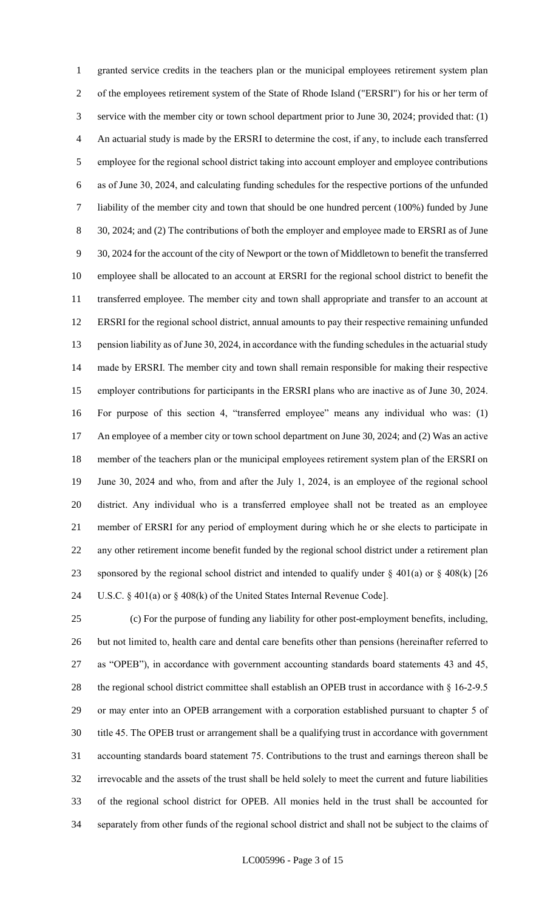granted service credits in the teachers plan or the municipal employees retirement system plan of the employees retirement system of the State of Rhode Island ("ERSRI") for his or her term of service with the member city or town school department prior to June 30, 2024; provided that: (1) An actuarial study is made by the ERSRI to determine the cost, if any, to include each transferred employee for the regional school district taking into account employer and employee contributions as of June 30, 2024, and calculating funding schedules for the respective portions of the unfunded liability of the member city and town that should be one hundred percent (100%) funded by June 30, 2024; and (2) The contributions of both the employer and employee made to ERSRI as of June 30, 2024 for the account of the city of Newport or the town of Middletown to benefit the transferred employee shall be allocated to an account at ERSRI for the regional school district to benefit the transferred employee. The member city and town shall appropriate and transfer to an account at ERSRI for the regional school district, annual amounts to pay their respective remaining unfunded 13 pension liability as of June 30, 2024, in accordance with the funding schedules in the actuarial study made by ERSRI. The member city and town shall remain responsible for making their respective employer contributions for participants in the ERSRI plans who are inactive as of June 30, 2024. For purpose of this section 4, "transferred employee" means any individual who was: (1) 17 An employee of a member city or town school department on June 30, 2024; and (2) Was an active member of the teachers plan or the municipal employees retirement system plan of the ERSRI on June 30, 2024 and who, from and after the July 1, 2024, is an employee of the regional school district. Any individual who is a transferred employee shall not be treated as an employee member of ERSRI for any period of employment during which he or she elects to participate in any other retirement income benefit funded by the regional school district under a retirement plan 23 sponsored by the regional school district and intended to qualify under  $\S$  401(a) or  $\S$  408(k) [26 U.S.C. § 401(a) or § 408(k) of the United States Internal Revenue Code].

 (c) For the purpose of funding any liability for other post-employment benefits, including, but not limited to, health care and dental care benefits other than pensions (hereinafter referred to as "OPEB"), in accordance with government accounting standards board statements 43 and 45, 28 the regional school district committee shall establish an OPEB trust in accordance with § 16-2-9.5 or may enter into an OPEB arrangement with a corporation established pursuant to chapter 5 of title 45. The OPEB trust or arrangement shall be a qualifying trust in accordance with government accounting standards board statement 75. Contributions to the trust and earnings thereon shall be irrevocable and the assets of the trust shall be held solely to meet the current and future liabilities of the regional school district for OPEB. All monies held in the trust shall be accounted for separately from other funds of the regional school district and shall not be subject to the claims of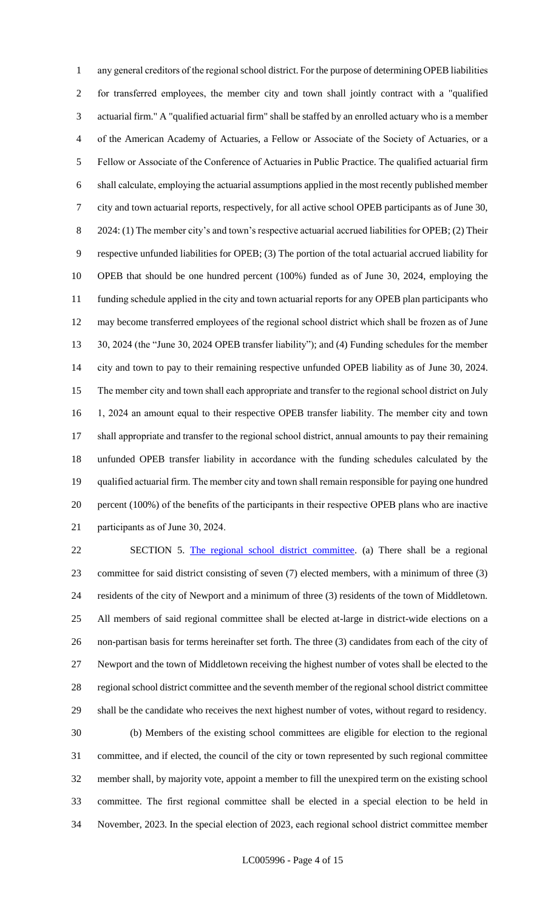any general creditors of the regional school district. For the purpose of determining OPEB liabilities for transferred employees, the member city and town shall jointly contract with a "qualified actuarial firm." A "qualified actuarial firm" shall be staffed by an enrolled actuary who is a member of the American Academy of Actuaries, a Fellow or Associate of the Society of Actuaries, or a Fellow or Associate of the Conference of Actuaries in Public Practice. The qualified actuarial firm shall calculate, employing the actuarial assumptions applied in the most recently published member city and town actuarial reports, respectively, for all active school OPEB participants as of June 30, 8 2024: (1) The member city's and town's respective actuarial accrued liabilities for OPEB; (2) Their respective unfunded liabilities for OPEB; (3) The portion of the total actuarial accrued liability for OPEB that should be one hundred percent (100%) funded as of June 30, 2024, employing the funding schedule applied in the city and town actuarial reports for any OPEB plan participants who may become transferred employees of the regional school district which shall be frozen as of June 30, 2024 (the "June 30, 2024 OPEB transfer liability"); and (4) Funding schedules for the member city and town to pay to their remaining respective unfunded OPEB liability as of June 30, 2024. The member city and town shall each appropriate and transfer to the regional school district on July 1, 2024 an amount equal to their respective OPEB transfer liability. The member city and town shall appropriate and transfer to the regional school district, annual amounts to pay their remaining unfunded OPEB transfer liability in accordance with the funding schedules calculated by the qualified actuarial firm. The member city and town shall remain responsible for paying one hundred percent (100%) of the benefits of the participants in their respective OPEB plans who are inactive participants as of June 30, 2024.

 SECTION 5. The regional school district committee. (a) There shall be a regional committee for said district consisting of seven (7) elected members, with a minimum of three (3) residents of the city of Newport and a minimum of three (3) residents of the town of Middletown. All members of said regional committee shall be elected at-large in district-wide elections on a non-partisan basis for terms hereinafter set forth. The three (3) candidates from each of the city of Newport and the town of Middletown receiving the highest number of votes shall be elected to the regional school district committee and the seventh member of the regional school district committee shall be the candidate who receives the next highest number of votes, without regard to residency.

 (b) Members of the existing school committees are eligible for election to the regional committee, and if elected, the council of the city or town represented by such regional committee member shall, by majority vote, appoint a member to fill the unexpired term on the existing school committee. The first regional committee shall be elected in a special election to be held in November, 2023. In the special election of 2023, each regional school district committee member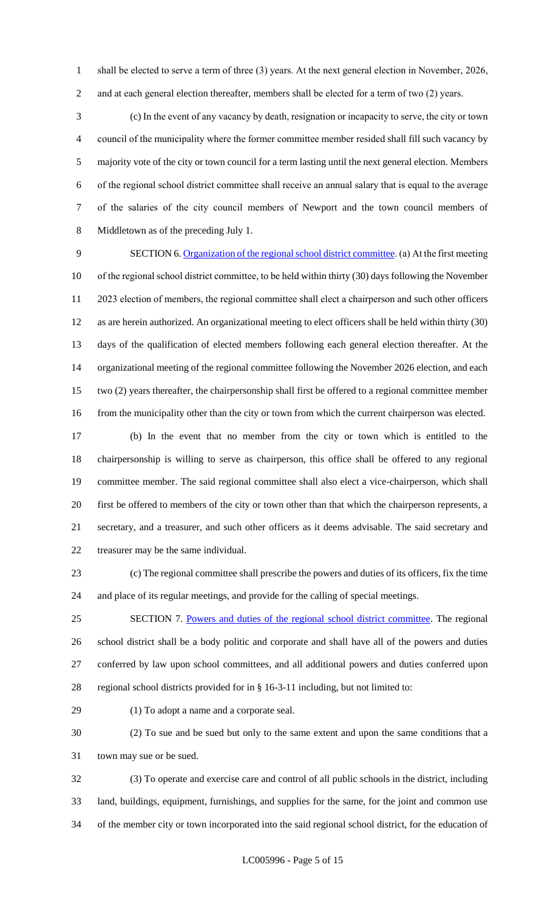shall be elected to serve a term of three (3) years. At the next general election in November, 2026, 2 and at each general election thereafter, members shall be elected for a term of two (2) years.

 (c) In the event of any vacancy by death, resignation or incapacity to serve, the city or town council of the municipality where the former committee member resided shall fill such vacancy by majority vote of the city or town council for a term lasting until the next general election. Members of the regional school district committee shall receive an annual salary that is equal to the average of the salaries of the city council members of Newport and the town council members of Middletown as of the preceding July 1.

 SECTION 6. Organization of the regional school district committee. (a) At the first meeting of the regional school district committee, to be held within thirty (30) days following the November 2023 election of members, the regional committee shall elect a chairperson and such other officers as are herein authorized. An organizational meeting to elect officers shall be held within thirty (30) days of the qualification of elected members following each general election thereafter. At the organizational meeting of the regional committee following the November 2026 election, and each two (2) years thereafter, the chairpersonship shall first be offered to a regional committee member 16 from the municipality other than the city or town from which the current chairperson was elected.

 (b) In the event that no member from the city or town which is entitled to the chairpersonship is willing to serve as chairperson, this office shall be offered to any regional committee member. The said regional committee shall also elect a vice-chairperson, which shall first be offered to members of the city or town other than that which the chairperson represents, a secretary, and a treasurer, and such other officers as it deems advisable. The said secretary and treasurer may be the same individual.

 (c) The regional committee shall prescribe the powers and duties of its officers, fix the time and place of its regular meetings, and provide for the calling of special meetings.

 SECTION 7. Powers and duties of the regional school district committee. The regional school district shall be a body politic and corporate and shall have all of the powers and duties conferred by law upon school committees, and all additional powers and duties conferred upon regional school districts provided for in § 16-3-11 including, but not limited to:

(1) To adopt a name and a corporate seal.

 (2) To sue and be sued but only to the same extent and upon the same conditions that a town may sue or be sued.

 (3) To operate and exercise care and control of all public schools in the district, including land, buildings, equipment, furnishings, and supplies for the same, for the joint and common use of the member city or town incorporated into the said regional school district, for the education of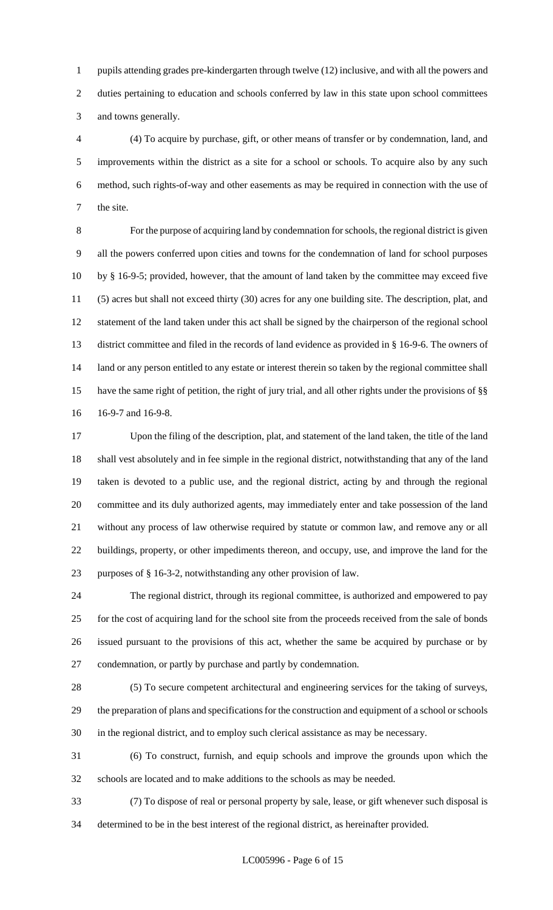pupils attending grades pre-kindergarten through twelve (12) inclusive, and with all the powers and 2 duties pertaining to education and schools conferred by law in this state upon school committees and towns generally.

 (4) To acquire by purchase, gift, or other means of transfer or by condemnation, land, and improvements within the district as a site for a school or schools. To acquire also by any such method, such rights-of-way and other easements as may be required in connection with the use of the site.

 For the purpose of acquiring land by condemnation for schools, the regional district is given all the powers conferred upon cities and towns for the condemnation of land for school purposes by § 16-9-5; provided, however, that the amount of land taken by the committee may exceed five (5) acres but shall not exceed thirty (30) acres for any one building site. The description, plat, and statement of the land taken under this act shall be signed by the chairperson of the regional school district committee and filed in the records of land evidence as provided in § 16-9-6. The owners of 14 land or any person entitled to any estate or interest therein so taken by the regional committee shall have the same right of petition, the right of jury trial, and all other rights under the provisions of §§ 16-9-7 and 16-9-8.

 Upon the filing of the description, plat, and statement of the land taken, the title of the land shall vest absolutely and in fee simple in the regional district, notwithstanding that any of the land taken is devoted to a public use, and the regional district, acting by and through the regional committee and its duly authorized agents, may immediately enter and take possession of the land without any process of law otherwise required by statute or common law, and remove any or all buildings, property, or other impediments thereon, and occupy, use, and improve the land for the purposes of § 16-3-2, notwithstanding any other provision of law.

 The regional district, through its regional committee, is authorized and empowered to pay for the cost of acquiring land for the school site from the proceeds received from the sale of bonds issued pursuant to the provisions of this act, whether the same be acquired by purchase or by condemnation, or partly by purchase and partly by condemnation.

 (5) To secure competent architectural and engineering services for the taking of surveys, the preparation of plans and specifications for the construction and equipment of a school or schools in the regional district, and to employ such clerical assistance as may be necessary.

 (6) To construct, furnish, and equip schools and improve the grounds upon which the schools are located and to make additions to the schools as may be needed.

 (7) To dispose of real or personal property by sale, lease, or gift whenever such disposal is determined to be in the best interest of the regional district, as hereinafter provided.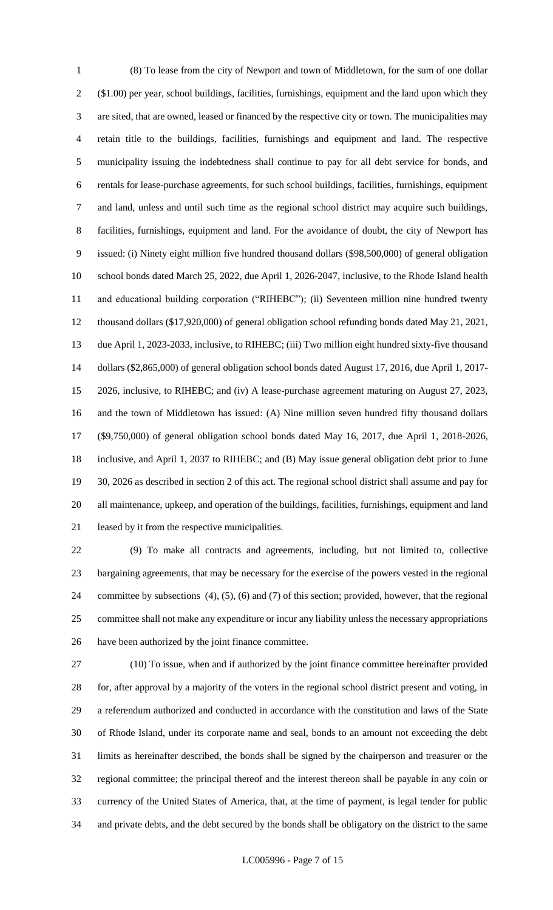(8) To lease from the city of Newport and town of Middletown, for the sum of one dollar (\$1.00) per year, school buildings, facilities, furnishings, equipment and the land upon which they are sited, that are owned, leased or financed by the respective city or town. The municipalities may retain title to the buildings, facilities, furnishings and equipment and land. The respective municipality issuing the indebtedness shall continue to pay for all debt service for bonds, and rentals for lease-purchase agreements, for such school buildings, facilities, furnishings, equipment and land, unless and until such time as the regional school district may acquire such buildings, facilities, furnishings, equipment and land. For the avoidance of doubt, the city of Newport has issued: (i) Ninety eight million five hundred thousand dollars (\$98,500,000) of general obligation school bonds dated March 25, 2022, due April 1, 2026-2047, inclusive, to the Rhode Island health and educational building corporation ("RIHEBC"); (ii) Seventeen million nine hundred twenty thousand dollars (\$17,920,000) of general obligation school refunding bonds dated May 21, 2021, due April 1, 2023-2033, inclusive, to RIHEBC; (iii) Two million eight hundred sixty-five thousand dollars (\$2,865,000) of general obligation school bonds dated August 17, 2016, due April 1, 2017- 2026, inclusive, to RIHEBC; and (iv) A lease-purchase agreement maturing on August 27, 2023, and the town of Middletown has issued: (A) Nine million seven hundred fifty thousand dollars (\$9,750,000) of general obligation school bonds dated May 16, 2017, due April 1, 2018-2026, inclusive, and April 1, 2037 to RIHEBC; and (B) May issue general obligation debt prior to June 30, 2026 as described in section 2 of this act. The regional school district shall assume and pay for all maintenance, upkeep, and operation of the buildings, facilities, furnishings, equipment and land leased by it from the respective municipalities.

 (9) To make all contracts and agreements, including, but not limited to, collective bargaining agreements, that may be necessary for the exercise of the powers vested in the regional committee by subsections (4), (5), (6) and (7) of this section; provided, however, that the regional committee shall not make any expenditure or incur any liability unless the necessary appropriations have been authorized by the joint finance committee.

 (10) To issue, when and if authorized by the joint finance committee hereinafter provided for, after approval by a majority of the voters in the regional school district present and voting, in a referendum authorized and conducted in accordance with the constitution and laws of the State of Rhode Island, under its corporate name and seal, bonds to an amount not exceeding the debt limits as hereinafter described, the bonds shall be signed by the chairperson and treasurer or the regional committee; the principal thereof and the interest thereon shall be payable in any coin or currency of the United States of America, that, at the time of payment, is legal tender for public and private debts, and the debt secured by the bonds shall be obligatory on the district to the same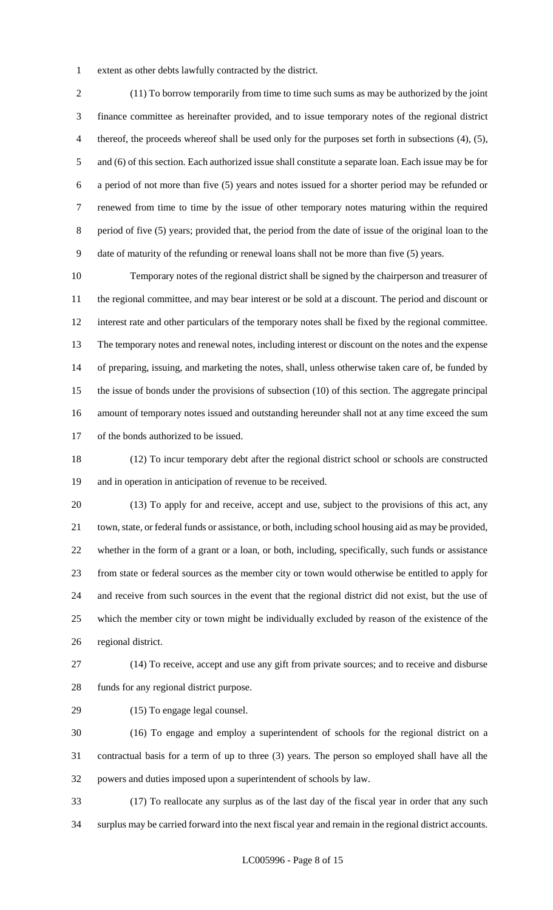extent as other debts lawfully contracted by the district.

 (11) To borrow temporarily from time to time such sums as may be authorized by the joint finance committee as hereinafter provided, and to issue temporary notes of the regional district thereof, the proceeds whereof shall be used only for the purposes set forth in subsections (4), (5), and (6) of this section. Each authorized issue shall constitute a separate loan. Each issue may be for a period of not more than five (5) years and notes issued for a shorter period may be refunded or renewed from time to time by the issue of other temporary notes maturing within the required period of five (5) years; provided that, the period from the date of issue of the original loan to the date of maturity of the refunding or renewal loans shall not be more than five (5) years.

 Temporary notes of the regional district shall be signed by the chairperson and treasurer of the regional committee, and may bear interest or be sold at a discount. The period and discount or interest rate and other particulars of the temporary notes shall be fixed by the regional committee. The temporary notes and renewal notes, including interest or discount on the notes and the expense of preparing, issuing, and marketing the notes, shall, unless otherwise taken care of, be funded by the issue of bonds under the provisions of subsection (10) of this section. The aggregate principal amount of temporary notes issued and outstanding hereunder shall not at any time exceed the sum of the bonds authorized to be issued.

 (12) To incur temporary debt after the regional district school or schools are constructed and in operation in anticipation of revenue to be received.

 (13) To apply for and receive, accept and use, subject to the provisions of this act, any town, state, or federal funds or assistance, or both, including school housing aid as may be provided, whether in the form of a grant or a loan, or both, including, specifically, such funds or assistance from state or federal sources as the member city or town would otherwise be entitled to apply for and receive from such sources in the event that the regional district did not exist, but the use of which the member city or town might be individually excluded by reason of the existence of the regional district.

 (14) To receive, accept and use any gift from private sources; and to receive and disburse funds for any regional district purpose.

(15) To engage legal counsel.

 (16) To engage and employ a superintendent of schools for the regional district on a contractual basis for a term of up to three (3) years. The person so employed shall have all the powers and duties imposed upon a superintendent of schools by law.

 (17) To reallocate any surplus as of the last day of the fiscal year in order that any such surplus may be carried forward into the next fiscal year and remain in the regional district accounts.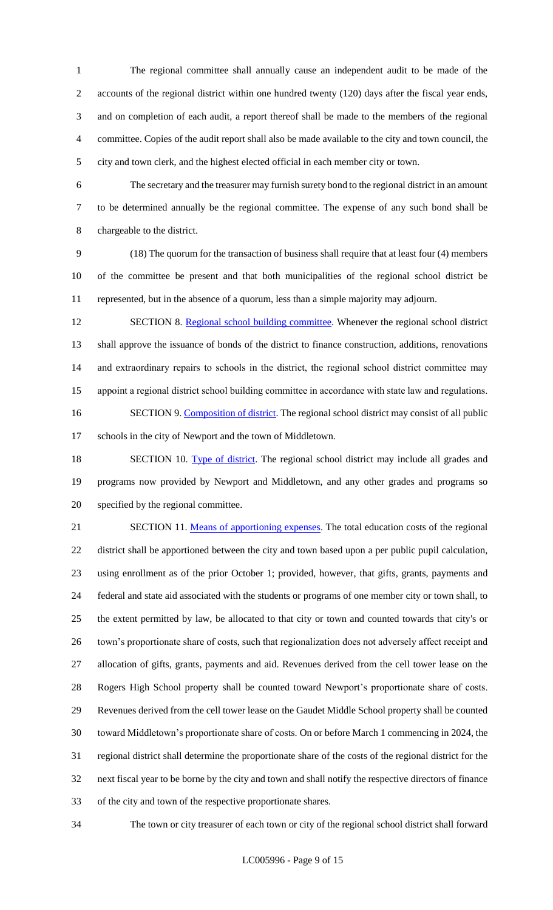The regional committee shall annually cause an independent audit to be made of the accounts of the regional district within one hundred twenty (120) days after the fiscal year ends, and on completion of each audit, a report thereof shall be made to the members of the regional committee. Copies of the audit report shall also be made available to the city and town council, the city and town clerk, and the highest elected official in each member city or town.

 The secretary and the treasurer may furnish surety bond to the regional district in an amount to be determined annually be the regional committee. The expense of any such bond shall be chargeable to the district.

 (18) The quorum for the transaction of business shall require that at least four (4) members of the committee be present and that both municipalities of the regional school district be represented, but in the absence of a quorum, less than a simple majority may adjourn.

12 SECTION 8. Regional school building committee. Whenever the regional school district shall approve the issuance of bonds of the district to finance construction, additions, renovations and extraordinary repairs to schools in the district, the regional school district committee may appoint a regional district school building committee in accordance with state law and regulations. 16 SECTION 9. Composition of district. The regional school district may consist of all public schools in the city of Newport and the town of Middletown.

18 SECTION 10. Type of district. The regional school district may include all grades and programs now provided by Newport and Middletown, and any other grades and programs so specified by the regional committee.

21 SECTION 11. Means of apportioning expenses. The total education costs of the regional district shall be apportioned between the city and town based upon a per public pupil calculation, using enrollment as of the prior October 1; provided, however, that gifts, grants, payments and federal and state aid associated with the students or programs of one member city or town shall, to the extent permitted by law, be allocated to that city or town and counted towards that city's or town's proportionate share of costs, such that regionalization does not adversely affect receipt and allocation of gifts, grants, payments and aid. Revenues derived from the cell tower lease on the Rogers High School property shall be counted toward Newport's proportionate share of costs. Revenues derived from the cell tower lease on the Gaudet Middle School property shall be counted toward Middletown's proportionate share of costs. On or before March 1 commencing in 2024, the regional district shall determine the proportionate share of the costs of the regional district for the next fiscal year to be borne by the city and town and shall notify the respective directors of finance of the city and town of the respective proportionate shares.

The town or city treasurer of each town or city of the regional school district shall forward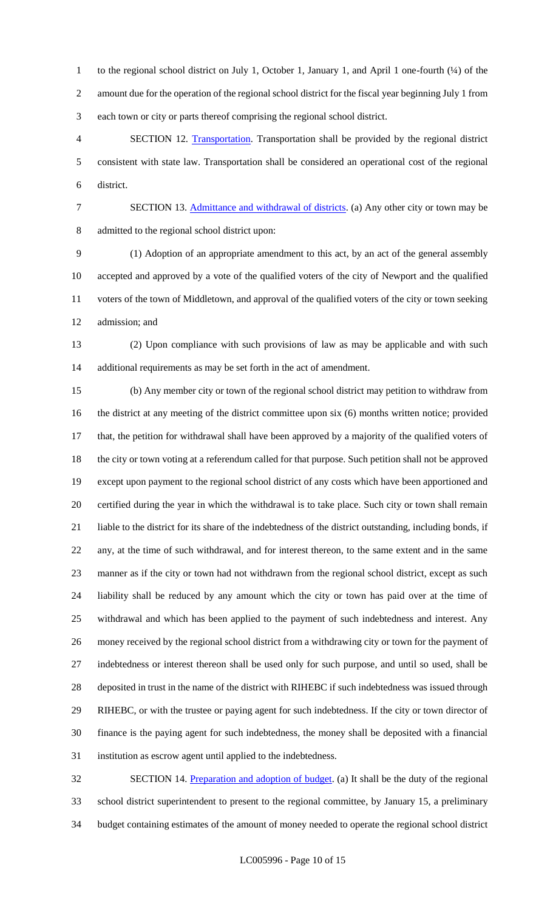1 to the regional school district on July 1, October 1, January 1, and April 1 one-fourth (¼) of the amount due for the operation of the regional school district for the fiscal year beginning July 1 from each town or city or parts thereof comprising the regional school district.

 SECTION 12. Transportation. Transportation shall be provided by the regional district consistent with state law. Transportation shall be considered an operational cost of the regional district.

7 SECTION 13. Admittance and withdrawal of districts. (a) Any other city or town may be admitted to the regional school district upon:

 (1) Adoption of an appropriate amendment to this act, by an act of the general assembly accepted and approved by a vote of the qualified voters of the city of Newport and the qualified voters of the town of Middletown, and approval of the qualified voters of the city or town seeking admission; and

 (2) Upon compliance with such provisions of law as may be applicable and with such additional requirements as may be set forth in the act of amendment.

 (b) Any member city or town of the regional school district may petition to withdraw from the district at any meeting of the district committee upon six (6) months written notice; provided that, the petition for withdrawal shall have been approved by a majority of the qualified voters of the city or town voting at a referendum called for that purpose. Such petition shall not be approved except upon payment to the regional school district of any costs which have been apportioned and certified during the year in which the withdrawal is to take place. Such city or town shall remain liable to the district for its share of the indebtedness of the district outstanding, including bonds, if any, at the time of such withdrawal, and for interest thereon, to the same extent and in the same manner as if the city or town had not withdrawn from the regional school district, except as such liability shall be reduced by any amount which the city or town has paid over at the time of withdrawal and which has been applied to the payment of such indebtedness and interest. Any money received by the regional school district from a withdrawing city or town for the payment of indebtedness or interest thereon shall be used only for such purpose, and until so used, shall be deposited in trust in the name of the district with RIHEBC if such indebtedness was issued through RIHEBC, or with the trustee or paying agent for such indebtedness. If the city or town director of finance is the paying agent for such indebtedness, the money shall be deposited with a financial institution as escrow agent until applied to the indebtedness.

32 SECTION 14. Preparation and adoption of budget. (a) It shall be the duty of the regional school district superintendent to present to the regional committee, by January 15, a preliminary budget containing estimates of the amount of money needed to operate the regional school district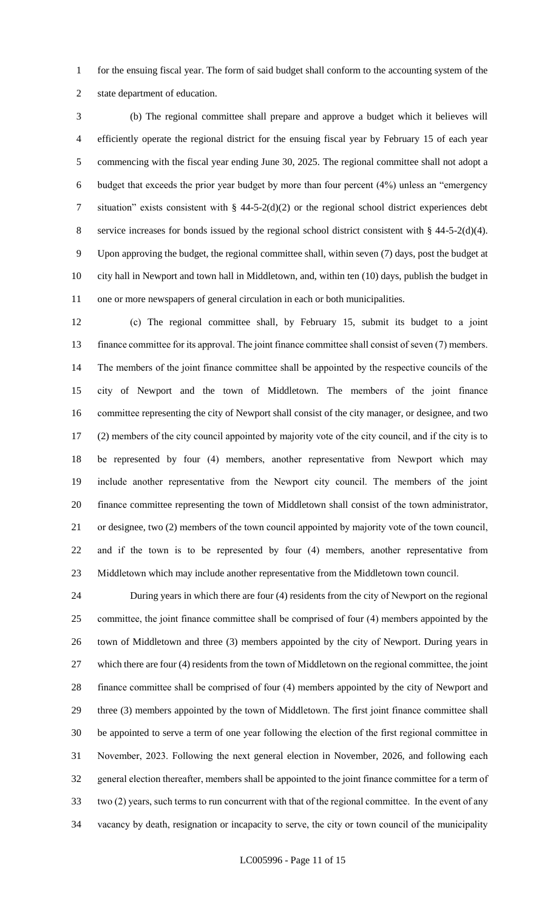for the ensuing fiscal year. The form of said budget shall conform to the accounting system of the state department of education.

 (b) The regional committee shall prepare and approve a budget which it believes will efficiently operate the regional district for the ensuing fiscal year by February 15 of each year commencing with the fiscal year ending June 30, 2025. The regional committee shall not adopt a budget that exceeds the prior year budget by more than four percent (4%) unless an "emergency situation" exists consistent with § 44-5-2(d)(2) or the regional school district experiences debt service increases for bonds issued by the regional school district consistent with § 44-5-2(d)(4). Upon approving the budget, the regional committee shall, within seven (7) days, post the budget at city hall in Newport and town hall in Middletown, and, within ten (10) days, publish the budget in one or more newspapers of general circulation in each or both municipalities.

 (c) The regional committee shall, by February 15, submit its budget to a joint finance committee for its approval. The joint finance committee shall consist of seven (7) members. The members of the joint finance committee shall be appointed by the respective councils of the city of Newport and the town of Middletown. The members of the joint finance committee representing the city of Newport shall consist of the city manager, or designee, and two (2) members of the city council appointed by majority vote of the city council, and if the city is to be represented by four (4) members, another representative from Newport which may include another representative from the Newport city council. The members of the joint finance committee representing the town of Middletown shall consist of the town administrator, or designee, two (2) members of the town council appointed by majority vote of the town council, and if the town is to be represented by four (4) members, another representative from Middletown which may include another representative from the Middletown town council.

 During years in which there are four (4) residents from the city of Newport on the regional committee, the joint finance committee shall be comprised of four (4) members appointed by the town of Middletown and three (3) members appointed by the city of Newport. During years in which there are four (4) residents from the town of Middletown on the regional committee, the joint finance committee shall be comprised of four (4) members appointed by the city of Newport and three (3) members appointed by the town of Middletown. The first joint finance committee shall be appointed to serve a term of one year following the election of the first regional committee in November, 2023. Following the next general election in November, 2026, and following each general election thereafter, members shall be appointed to the joint finance committee for a term of two (2) years, such terms to run concurrent with that of the regional committee. In the event of any vacancy by death, resignation or incapacity to serve, the city or town council of the municipality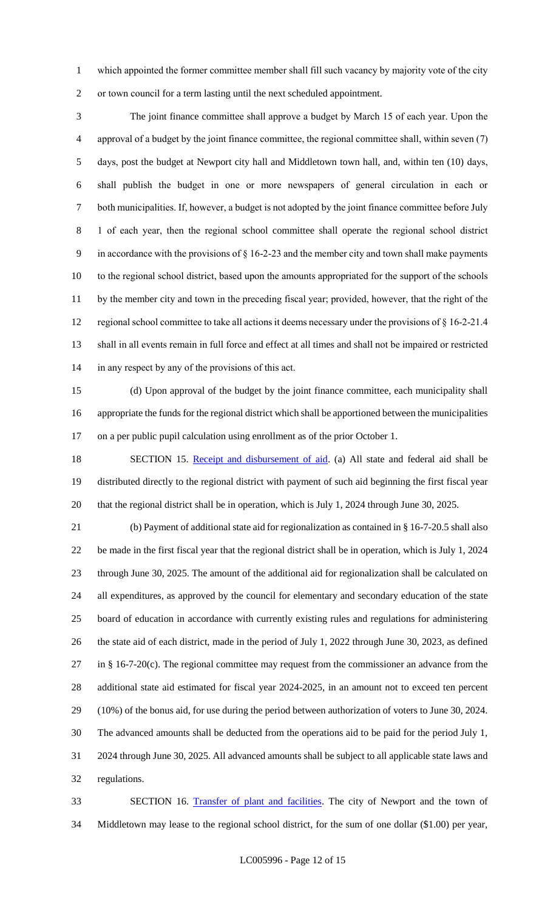which appointed the former committee member shall fill such vacancy by majority vote of the city or town council for a term lasting until the next scheduled appointment.

 The joint finance committee shall approve a budget by March 15 of each year. Upon the approval of a budget by the joint finance committee, the regional committee shall, within seven (7) days, post the budget at Newport city hall and Middletown town hall, and, within ten (10) days, shall publish the budget in one or more newspapers of general circulation in each or both municipalities. If, however, a budget is not adopted by the joint finance committee before July 1 of each year, then the regional school committee shall operate the regional school district in accordance with the provisions of § 16-2-23 and the member city and town shall make payments to the regional school district, based upon the amounts appropriated for the support of the schools by the member city and town in the preceding fiscal year; provided, however, that the right of the regional school committee to take all actions it deems necessary under the provisions of § 16-2-21.4 shall in all events remain in full force and effect at all times and shall not be impaired or restricted in any respect by any of the provisions of this act.

 (d) Upon approval of the budget by the joint finance committee, each municipality shall appropriate the funds for the regional district which shall be apportioned between the municipalities on a per public pupil calculation using enrollment as of the prior October 1.

18 SECTION 15. Receipt and disbursement of aid. (a) All state and federal aid shall be distributed directly to the regional district with payment of such aid beginning the first fiscal year that the regional district shall be in operation, which is July 1, 2024 through June 30, 2025.

 (b) Payment of additional state aid for regionalization as contained in § 16-7-20.5 shall also be made in the first fiscal year that the regional district shall be in operation, which is July 1, 2024 through June 30, 2025. The amount of the additional aid for regionalization shall be calculated on all expenditures, as approved by the council for elementary and secondary education of the state board of education in accordance with currently existing rules and regulations for administering the state aid of each district, made in the period of July 1, 2022 through June 30, 2023, as defined in § 16-7-20(c). The regional committee may request from the commissioner an advance from the additional state aid estimated for fiscal year 2024-2025, in an amount not to exceed ten percent (10%) of the bonus aid, for use during the period between authorization of voters to June 30, 2024. The advanced amounts shall be deducted from the operations aid to be paid for the period July 1, 2024 through June 30, 2025. All advanced amounts shall be subject to all applicable state laws and regulations.

 SECTION 16. Transfer of plant and facilities. The city of Newport and the town of Middletown may lease to the regional school district, for the sum of one dollar (\$1.00) per year,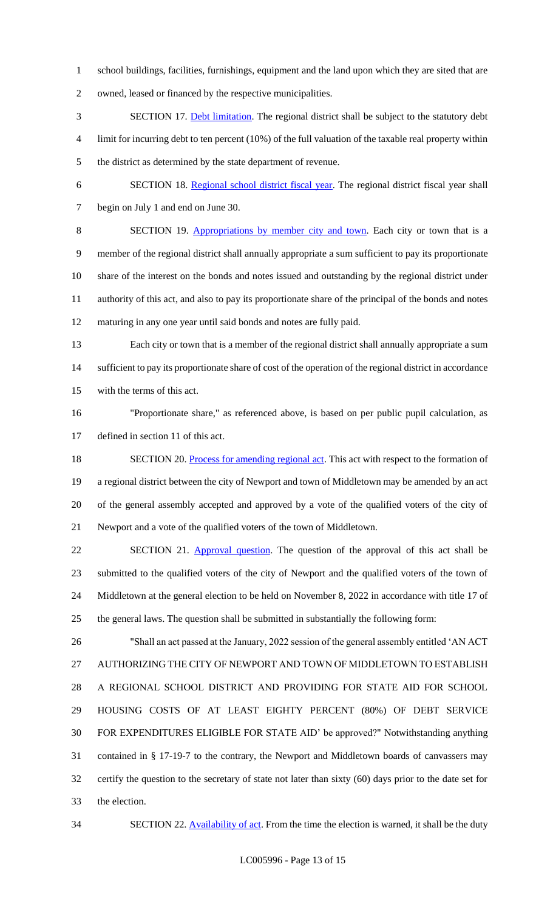school buildings, facilities, furnishings, equipment and the land upon which they are sited that are

owned, leased or financed by the respective municipalities.

- SECTION 17. Debt limitation. The regional district shall be subject to the statutory debt limit for incurring debt to ten percent (10%) of the full valuation of the taxable real property within the district as determined by the state department of revenue.
- SECTION 18. Regional school district fiscal year. The regional district fiscal year shall begin on July 1 and end on June 30.

 SECTION 19. Appropriations by member city and town. Each city or town that is a member of the regional district shall annually appropriate a sum sufficient to pay its proportionate share of the interest on the bonds and notes issued and outstanding by the regional district under authority of this act, and also to pay its proportionate share of the principal of the bonds and notes maturing in any one year until said bonds and notes are fully paid.

- Each city or town that is a member of the regional district shall annually appropriate a sum sufficient to pay its proportionate share of cost of the operation of the regional district in accordance with the terms of this act.
- "Proportionate share," as referenced above, is based on per public pupil calculation, as defined in section 11 of this act.
- 18 SECTION 20. Process for amending regional act. This act with respect to the formation of a regional district between the city of Newport and town of Middletown may be amended by an act of the general assembly accepted and approved by a vote of the qualified voters of the city of Newport and a vote of the qualified voters of the town of Middletown.

22 SECTION 21. Approval question. The question of the approval of this act shall be submitted to the qualified voters of the city of Newport and the qualified voters of the town of Middletown at the general election to be held on November 8, 2022 in accordance with title 17 of the general laws. The question shall be submitted in substantially the following form:

 "Shall an act passed at the January, 2022 session of the general assembly entitled 'AN ACT AUTHORIZING THE CITY OF NEWPORT AND TOWN OF MIDDLETOWN TO ESTABLISH A REGIONAL SCHOOL DISTRICT AND PROVIDING FOR STATE AID FOR SCHOOL HOUSING COSTS OF AT LEAST EIGHTY PERCENT (80%) OF DEBT SERVICE FOR EXPENDITURES ELIGIBLE FOR STATE AID' be approved?" Notwithstanding anything contained in § 17-19-7 to the contrary, the Newport and Middletown boards of canvassers may certify the question to the secretary of state not later than sixty (60) days prior to the date set for the election.

34 SECTION 22. Availability of act. From the time the election is warned, it shall be the duty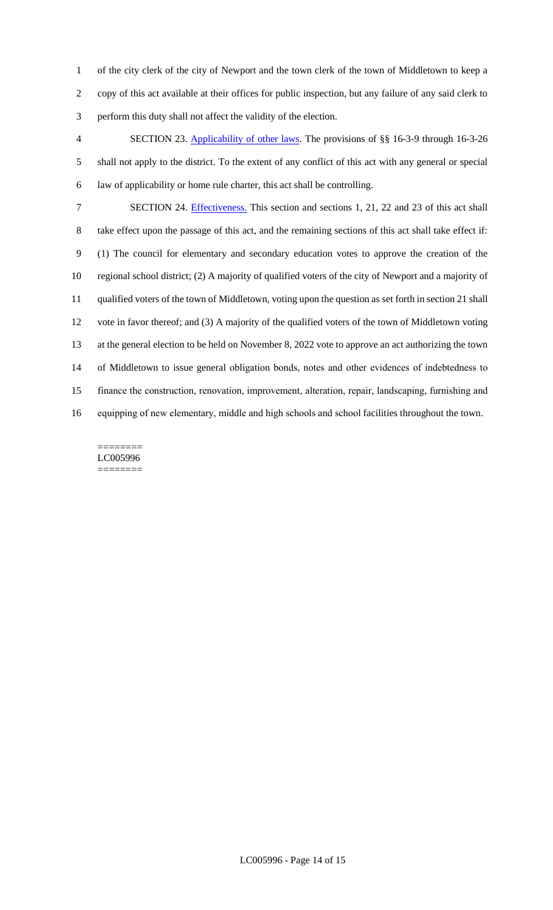of the city clerk of the city of Newport and the town clerk of the town of Middletown to keep a copy of this act available at their offices for public inspection, but any failure of any said clerk to perform this duty shall not affect the validity of the election.

 SECTION 23. Applicability of other laws. The provisions of §§ 16-3-9 through 16-3-26 shall not apply to the district. To the extent of any conflict of this act with any general or special law of applicability or home rule charter, this act shall be controlling.

 SECTION 24. Effectiveness. This section and sections 1, 21, 22 and 23 of this act shall take effect upon the passage of this act, and the remaining sections of this act shall take effect if: (1) The council for elementary and secondary education votes to approve the creation of the regional school district; (2) A majority of qualified voters of the city of Newport and a majority of qualified voters of the town of Middletown, voting upon the question as set forth in section 21 shall vote in favor thereof; and (3) A majority of the qualified voters of the town of Middletown voting at the general election to be held on November 8, 2022 vote to approve an act authorizing the town of Middletown to issue general obligation bonds, notes and other evidences of indebtedness to finance the construction, renovation, improvement, alteration, repair, landscaping, furnishing and equipping of new elementary, middle and high schools and school facilities throughout the town.

#### ======== LC005996 ========

LC005996 - Page 14 of 15